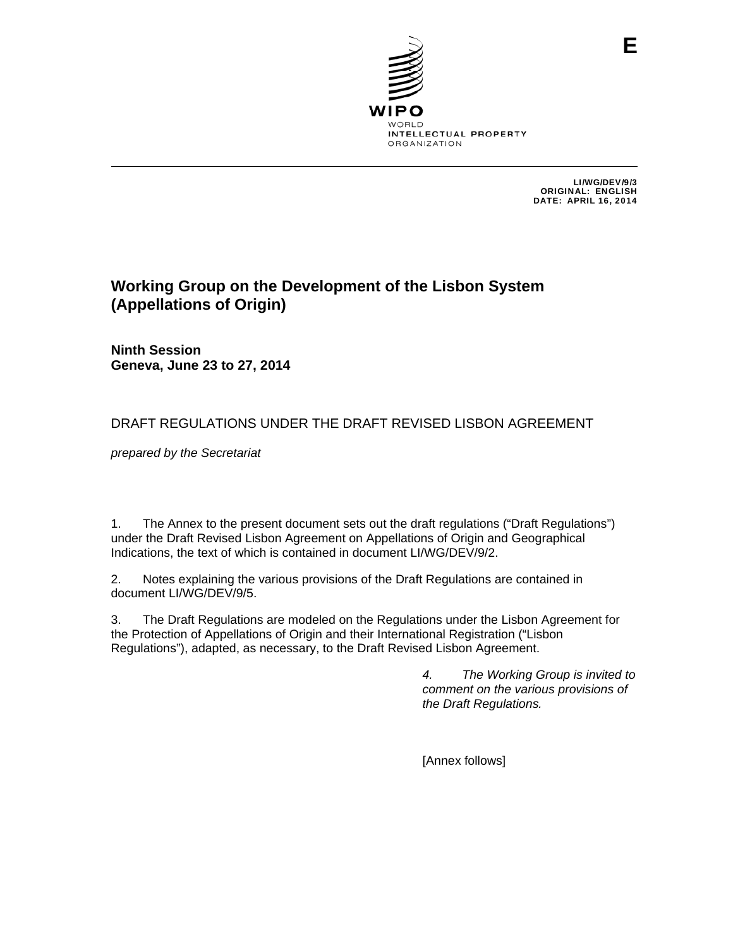

LI/WG/DEV/9/3 ORIGINAL: ENGLISH DATE: APRIL 16, 2014

# **Working Group on the Development of the Lisbon System (Appellations of Origin)**

**Ninth Session Geneva, June 23 to 27, 2014** 

## DRAFT REGULATIONS UNDER THE DRAFT REVISED LISBON AGREEMENT

*prepared by the Secretariat* 

1. The Annex to the present document sets out the draft regulations ("Draft Regulations") under the Draft Revised Lisbon Agreement on Appellations of Origin and Geographical Indications, the text of which is contained in document LI/WG/DEV/9/2.

2. Notes explaining the various provisions of the Draft Regulations are contained in document LI/WG/DEV/9/5.

3. The Draft Regulations are modeled on the Regulations under the Lisbon Agreement for the Protection of Appellations of Origin and their International Registration ("Lisbon Regulations"), adapted, as necessary, to the Draft Revised Lisbon Agreement.

> *4. The Working Group is invited to comment on the various provisions of the Draft Regulations.*

[Annex follows]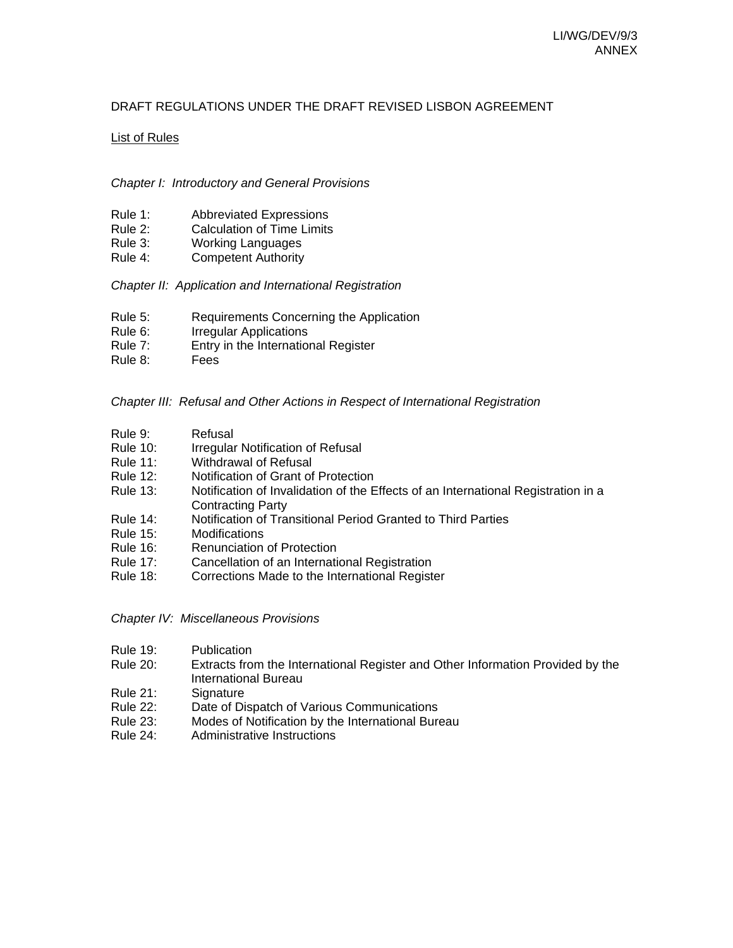## DRAFT REGULATIONS UNDER THE DRAFT REVISED LISBON AGREEMENT

#### List of Rules

#### *Chapter I: Introductory and General Provisions*

- Rule 1: Abbreviated Expressions
- Rule 2: Calculation of Time Limits
- Rule 3: Working Languages
- Rule 4: Competent Authority

#### *Chapter II: Application and International Registration*

- Rule 5: Requirements Concerning the Application
- Rule 6: Irregular Applications
- Rule 7: Entry in the International Register
- Rule 8: Fees

#### *Chapter III: Refusal and Other Actions in Respect of International Registration*

- Rule 9: Refusal
- Rule 10: Irregular Notification of Refusal
- Rule 11: Withdrawal of Refusal
- Rule 12: Notification of Grant of Protection
- Rule 13: Notification of Invalidation of the Effects of an International Registration in a Contracting Party
- Rule 14: Notification of Transitional Period Granted to Third Parties
- Rule 15: Modifications
- Rule 16: Renunciation of Protection
- Rule 17: Cancellation of an International Registration
- Rule 18: Corrections Made to the International Register

*Chapter IV: Miscellaneous Provisions* 

- Rule 19: Publication
- Rule 20: Extracts from the International Register and Other Information Provided by the International Bureau
- Rule 21: Signature<br>Rule 22: Date of Di
- Date of Dispatch of Various Communications
- Rule 23: Modes of Notification by the International Bureau
- Rule 24: Administrative Instructions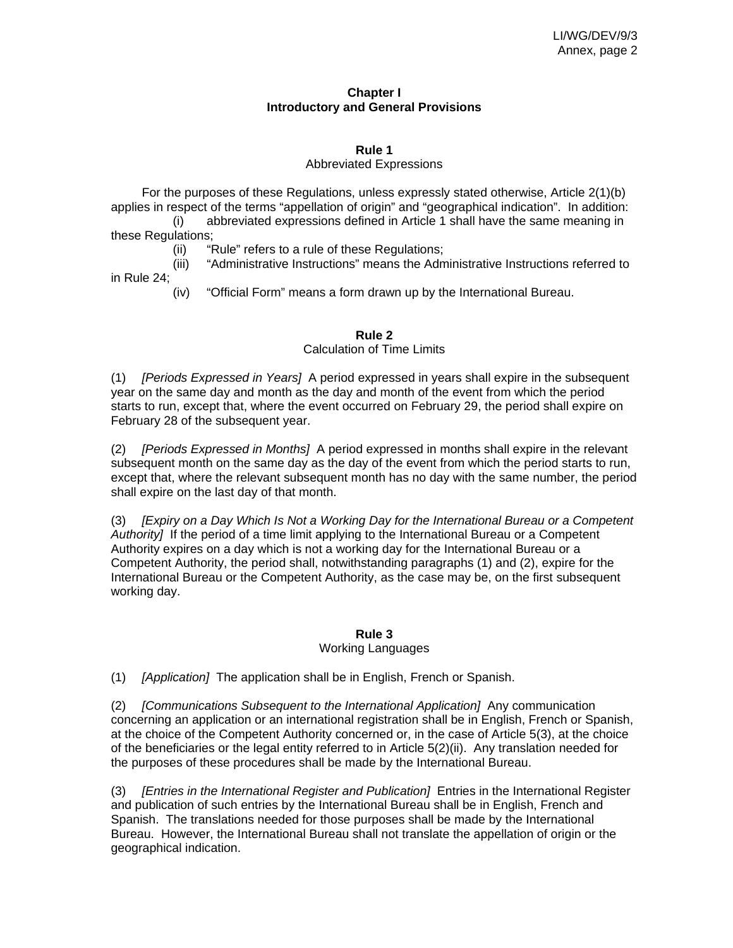#### **Chapter I Introductory and General Provisions**

#### **Rule 1**

#### Abbreviated Expressions

 For the purposes of these Regulations, unless expressly stated otherwise, Article 2(1)(b) applies in respect of the terms "appellation of origin" and "geographical indication". In addition: (i) abbreviated expressions defined in Article 1 shall have the same meaning in

these Regulations;

(ii) "Rule" refers to a rule of these Regulations;

(iii) "Administrative Instructions" means the Administrative Instructions referred to in Rule 24;

(iv) "Official Form" means a form drawn up by the International Bureau.

#### **Rule 2**  Calculation of Time Limits

(1) *[Periods Expressed in Years]* A period expressed in years shall expire in the subsequent year on the same day and month as the day and month of the event from which the period starts to run, except that, where the event occurred on February 29, the period shall expire on February 28 of the subsequent year.

(2) *[Periods Expressed in Months]* A period expressed in months shall expire in the relevant subsequent month on the same day as the day of the event from which the period starts to run, except that, where the relevant subsequent month has no day with the same number, the period shall expire on the last day of that month.

(3) *[Expiry on a Day Which Is Not a Working Day for the International Bureau or a Competent Authority]* If the period of a time limit applying to the International Bureau or a Competent Authority expires on a day which is not a working day for the International Bureau or a Competent Authority, the period shall, notwithstanding paragraphs (1) and (2), expire for the International Bureau or the Competent Authority, as the case may be, on the first subsequent working day.

# **Rule 3**

## Working Languages

(1) *[Application]* The application shall be in English, French or Spanish.

(2) *[Communications Subsequent to the International Application]* Any communication concerning an application or an international registration shall be in English, French or Spanish, at the choice of the Competent Authority concerned or, in the case of Article 5(3), at the choice of the beneficiaries or the legal entity referred to in Article 5(2)(ii). Any translation needed for the purposes of these procedures shall be made by the International Bureau.

(3) *[Entries in the International Register and Publication]* Entries in the International Register and publication of such entries by the International Bureau shall be in English, French and Spanish. The translations needed for those purposes shall be made by the International Bureau. However, the International Bureau shall not translate the appellation of origin or the geographical indication.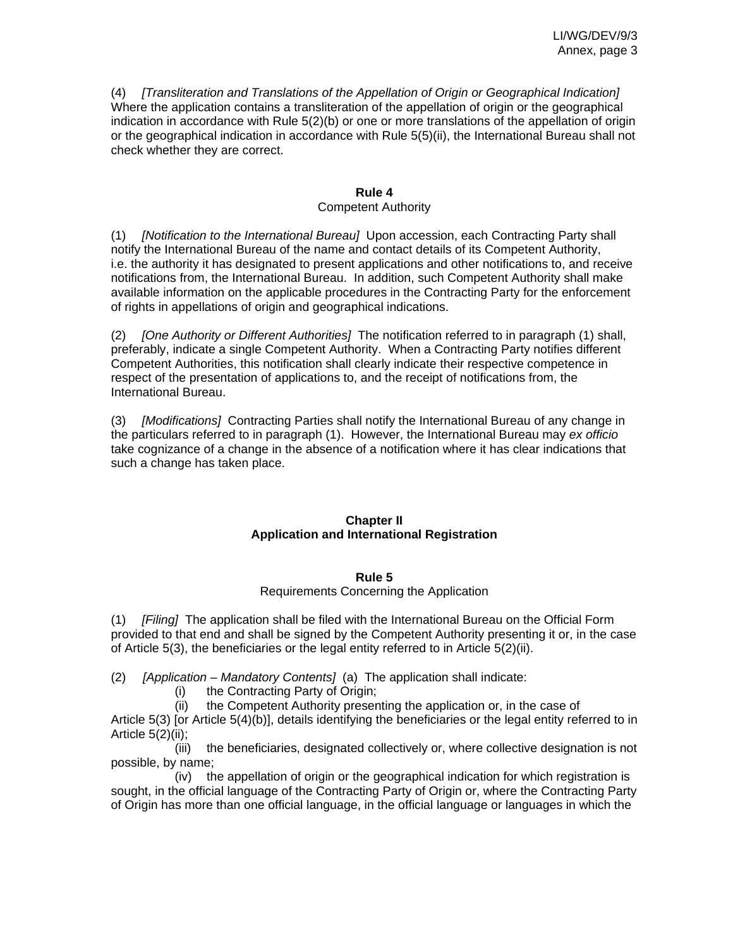(4) *[Transliteration and Translations of the Appellation of Origin or Geographical Indication]*  Where the application contains a transliteration of the appellation of origin or the geographical indication in accordance with Rule 5(2)(b) or one or more translations of the appellation of origin or the geographical indication in accordance with Rule 5(5)(ii), the International Bureau shall not check whether they are correct.

## **Rule 4**

#### Competent Authority

(1) *[Notification to the International Bureau]* Upon accession, each Contracting Party shall notify the International Bureau of the name and contact details of its Competent Authority, i.e. the authority it has designated to present applications and other notifications to, and receive notifications from, the International Bureau. In addition, such Competent Authority shall make available information on the applicable procedures in the Contracting Party for the enforcement of rights in appellations of origin and geographical indications.

(2) *[One Authority or Different Authorities]* The notification referred to in paragraph (1) shall, preferably, indicate a single Competent Authority. When a Contracting Party notifies different Competent Authorities, this notification shall clearly indicate their respective competence in respect of the presentation of applications to, and the receipt of notifications from, the International Bureau.

(3) *[Modifications]* Contracting Parties shall notify the International Bureau of any change in the particulars referred to in paragraph (1). However, the International Bureau may *ex officio* take cognizance of a change in the absence of a notification where it has clear indications that such a change has taken place.

## **Chapter II Application and International Registration**

#### **Rule 5**

Requirements Concerning the Application

(1) *[Filing]* The application shall be filed with the International Bureau on the Official Form provided to that end and shall be signed by the Competent Authority presenting it or, in the case of Article 5(3), the beneficiaries or the legal entity referred to in Article 5(2)(ii).

(2) *[Application – Mandatory Contents]* (a) The application shall indicate:

- (i) the Contracting Party of Origin;
- (ii) the Competent Authority presenting the application or, in the case of

Article 5(3) [or Article 5(4)(b)], details identifying the beneficiaries or the legal entity referred to in Article 5(2)(ii);

(iii) the beneficiaries, designated collectively or, where collective designation is not possible, by name;

(iv) the appellation of origin or the geographical indication for which registration is sought, in the official language of the Contracting Party of Origin or, where the Contracting Party of Origin has more than one official language, in the official language or languages in which the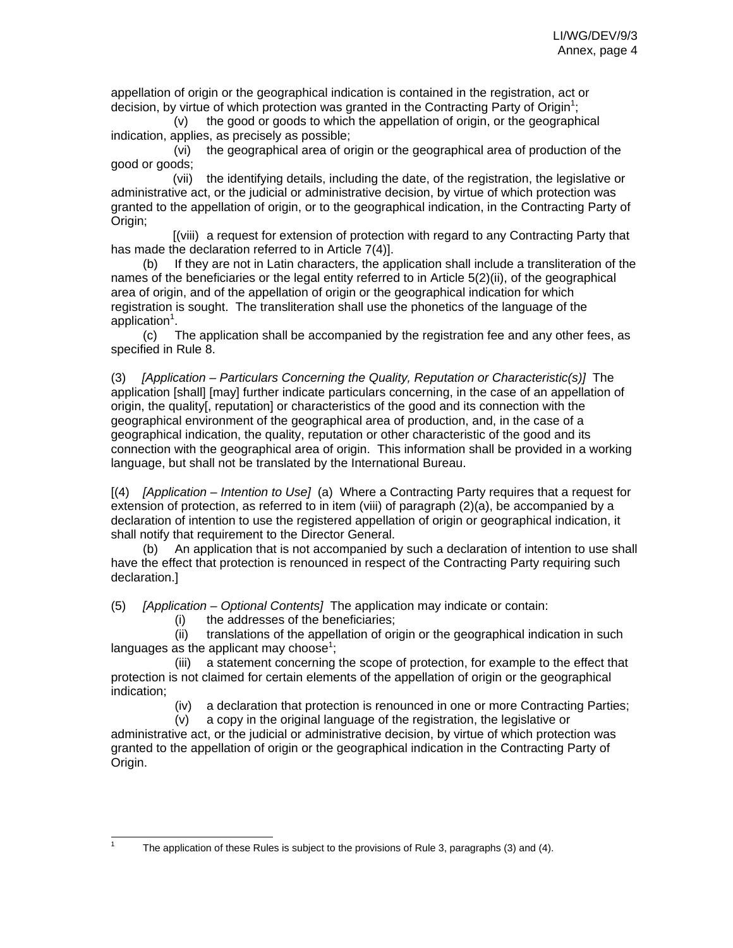appellation of origin or the geographical indication is contained in the registration, act or decision, by virtue of which protection was granted in the Contracting Party of Origin<sup>1</sup>;

(v) the good or goods to which the appellation of origin, or the geographical indication, applies, as precisely as possible;

(vi) the geographical area of origin or the geographical area of production of the good or goods;

(vii) the identifying details, including the date, of the registration, the legislative or administrative act, or the judicial or administrative decision, by virtue of which protection was granted to the appellation of origin, or to the geographical indication, in the Contracting Party of Origin;

[(viii) a request for extension of protection with regard to any Contracting Party that has made the declaration referred to in Article 7(4)].

(b) If they are not in Latin characters, the application shall include a transliteration of the names of the beneficiaries or the legal entity referred to in Article 5(2)(ii), of the geographical area of origin, and of the appellation of origin or the geographical indication for which registration is sought. The transliteration shall use the phonetics of the language of the application<sup>1</sup>.

(c) The application shall be accompanied by the registration fee and any other fees, as specified in Rule 8.

(3) *[Application – Particulars Concerning the Quality, Reputation or Characteristic(s)]* The application [shall] [may] further indicate particulars concerning, in the case of an appellation of origin, the quality[, reputation] or characteristics of the good and its connection with the geographical environment of the geographical area of production, and, in the case of a geographical indication, the quality, reputation or other characteristic of the good and its connection with the geographical area of origin. This information shall be provided in a working language, but shall not be translated by the International Bureau.

[(4) *[Application – Intention to Use]* (a) Where a Contracting Party requires that a request for extension of protection, as referred to in item (viii) of paragraph (2)(a), be accompanied by a declaration of intention to use the registered appellation of origin or geographical indication, it shall notify that requirement to the Director General.

 (b) An application that is not accompanied by such a declaration of intention to use shall have the effect that protection is renounced in respect of the Contracting Party requiring such declaration.]

(5) *[Application – Optional Contents]* The application may indicate or contain:

(i) the addresses of the beneficiaries;

 $\frac{1}{1}$ 

(ii) translations of the appellation of origin or the geographical indication in such languages as the applicant may choose<sup>1</sup>;

(iii) a statement concerning the scope of protection, for example to the effect that protection is not claimed for certain elements of the appellation of origin or the geographical indication;

(iv) a declaration that protection is renounced in one or more Contracting Parties;

(v) a copy in the original language of the registration, the legislative or

administrative act, or the judicial or administrative decision, by virtue of which protection was granted to the appellation of origin or the geographical indication in the Contracting Party of Origin.

The application of these Rules is subject to the provisions of Rule 3, paragraphs (3) and (4).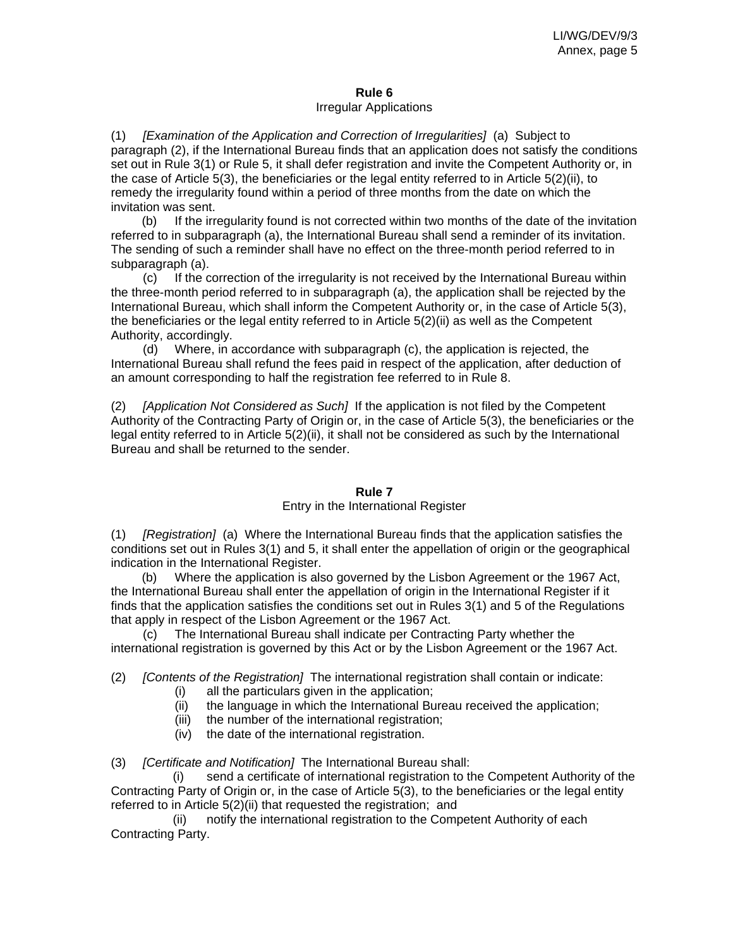#### Irregular Applications

(1) *[Examination of the Application and Correction of Irregularities]* (a) Subject to paragraph (2), if the International Bureau finds that an application does not satisfy the conditions set out in Rule 3(1) or Rule 5, it shall defer registration and invite the Competent Authority or, in the case of Article 5(3), the beneficiaries or the legal entity referred to in Article 5(2)(ii), to remedy the irregularity found within a period of three months from the date on which the invitation was sent.

(b) If the irregularity found is not corrected within two months of the date of the invitation referred to in subparagraph (a), the International Bureau shall send a reminder of its invitation. The sending of such a reminder shall have no effect on the three-month period referred to in subparagraph (a).

(c) If the correction of the irregularity is not received by the International Bureau within the three-month period referred to in subparagraph (a), the application shall be rejected by the International Bureau, which shall inform the Competent Authority or, in the case of Article 5(3), the beneficiaries or the legal entity referred to in Article 5(2)(ii) as well as the Competent Authority, accordingly.

(d) Where, in accordance with subparagraph (c), the application is rejected, the International Bureau shall refund the fees paid in respect of the application, after deduction of an amount corresponding to half the registration fee referred to in Rule 8.

(2) *[Application Not Considered as Such]* If the application is not filed by the Competent Authority of the Contracting Party of Origin or, in the case of Article 5(3), the beneficiaries or the legal entity referred to in Article 5(2)(ii), it shall not be considered as such by the International Bureau and shall be returned to the sender.

## **Rule 7**

## Entry in the International Register

(1) *[Registration]* (a) Where the International Bureau finds that the application satisfies the conditions set out in Rules 3(1) and 5, it shall enter the appellation of origin or the geographical indication in the International Register.

 (b) Where the application is also governed by the Lisbon Agreement or the 1967 Act, the International Bureau shall enter the appellation of origin in the International Register if it finds that the application satisfies the conditions set out in Rules 3(1) and 5 of the Regulations that apply in respect of the Lisbon Agreement or the 1967 Act.

 (c) The International Bureau shall indicate per Contracting Party whether the international registration is governed by this Act or by the Lisbon Agreement or the 1967 Act.

(2) *[Contents of the Registration]* The international registration shall contain or indicate:

- (i) all the particulars given in the application;
- (ii) the language in which the International Bureau received the application;
- (iii) the number of the international registration;
- (iv) the date of the international registration.

(3) *[Certificate and Notification]* The International Bureau shall:

send a certificate of international registration to the Competent Authority of the Contracting Party of Origin or, in the case of Article 5(3), to the beneficiaries or the legal entity referred to in Article 5(2)(ii) that requested the registration; and

 (ii) notify the international registration to the Competent Authority of each Contracting Party.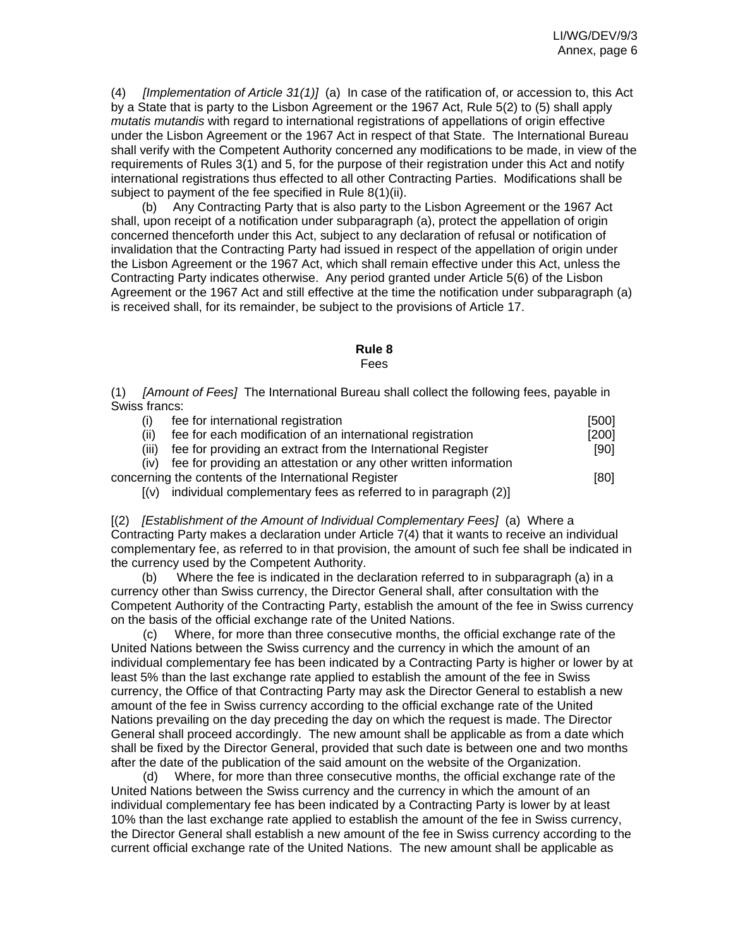(4) *[Implementation of Article 31(1)]* (a) In case of the ratification of, or accession to, this Act by a State that is party to the Lisbon Agreement or the 1967 Act, Rule 5(2) to (5) shall apply *mutatis mutandis* with regard to international registrations of appellations of origin effective under the Lisbon Agreement or the 1967 Act in respect of that State. The International Bureau shall verify with the Competent Authority concerned any modifications to be made, in view of the requirements of Rules 3(1) and 5, for the purpose of their registration under this Act and notify international registrations thus effected to all other Contracting Parties. Modifications shall be subject to payment of the fee specified in Rule 8(1)(ii).

 (b) Any Contracting Party that is also party to the Lisbon Agreement or the 1967 Act shall, upon receipt of a notification under subparagraph (a), protect the appellation of origin concerned thenceforth under this Act, subject to any declaration of refusal or notification of invalidation that the Contracting Party had issued in respect of the appellation of origin under the Lisbon Agreement or the 1967 Act, which shall remain effective under this Act, unless the Contracting Party indicates otherwise. Any period granted under Article 5(6) of the Lisbon Agreement or the 1967 Act and still effective at the time the notification under subparagraph (a) is received shall, for its remainder, be subject to the provisions of Article 17.

## **Rule 8**

Fees

(1) *[Amount of Fees]* The International Bureau shall collect the following fees, payable in Swiss francs:

| (i)                                                                                                 | fee for international registration                                     | [500] |
|-----------------------------------------------------------------------------------------------------|------------------------------------------------------------------------|-------|
| (ii)                                                                                                | fee for each modification of an international registration             | [200] |
| (iii)                                                                                               | fee for providing an extract from the International Register           | [90]  |
|                                                                                                     | (iv) fee for providing an attestation or any other written information |       |
| concerning the contents of the International Register                                               |                                                                        | [80]  |
| $L(\Delta)$ - in distributed a coordinate or the set of a set over all the incomparated $L(\Delta)$ |                                                                        |       |

[(v) individual complementary fees as referred to in paragraph (2)]

[(2) *[Establishment of the Amount of Individual Complementary Fees]* (a) Where a Contracting Party makes a declaration under Article 7(4) that it wants to receive an individual complementary fee, as referred to in that provision, the amount of such fee shall be indicated in the currency used by the Competent Authority.

 (b) Where the fee is indicated in the declaration referred to in subparagraph (a) in a currency other than Swiss currency, the Director General shall, after consultation with the Competent Authority of the Contracting Party, establish the amount of the fee in Swiss currency on the basis of the official exchange rate of the United Nations.

 (c) Where, for more than three consecutive months, the official exchange rate of the United Nations between the Swiss currency and the currency in which the amount of an individual complementary fee has been indicated by a Contracting Party is higher or lower by at least 5% than the last exchange rate applied to establish the amount of the fee in Swiss currency, the Office of that Contracting Party may ask the Director General to establish a new amount of the fee in Swiss currency according to the official exchange rate of the United Nations prevailing on the day preceding the day on which the request is made. The Director General shall proceed accordingly. The new amount shall be applicable as from a date which shall be fixed by the Director General, provided that such date is between one and two months after the date of the publication of the said amount on the website of the Organization.

 (d) Where, for more than three consecutive months, the official exchange rate of the United Nations between the Swiss currency and the currency in which the amount of an individual complementary fee has been indicated by a Contracting Party is lower by at least 10% than the last exchange rate applied to establish the amount of the fee in Swiss currency, the Director General shall establish a new amount of the fee in Swiss currency according to the current official exchange rate of the United Nations. The new amount shall be applicable as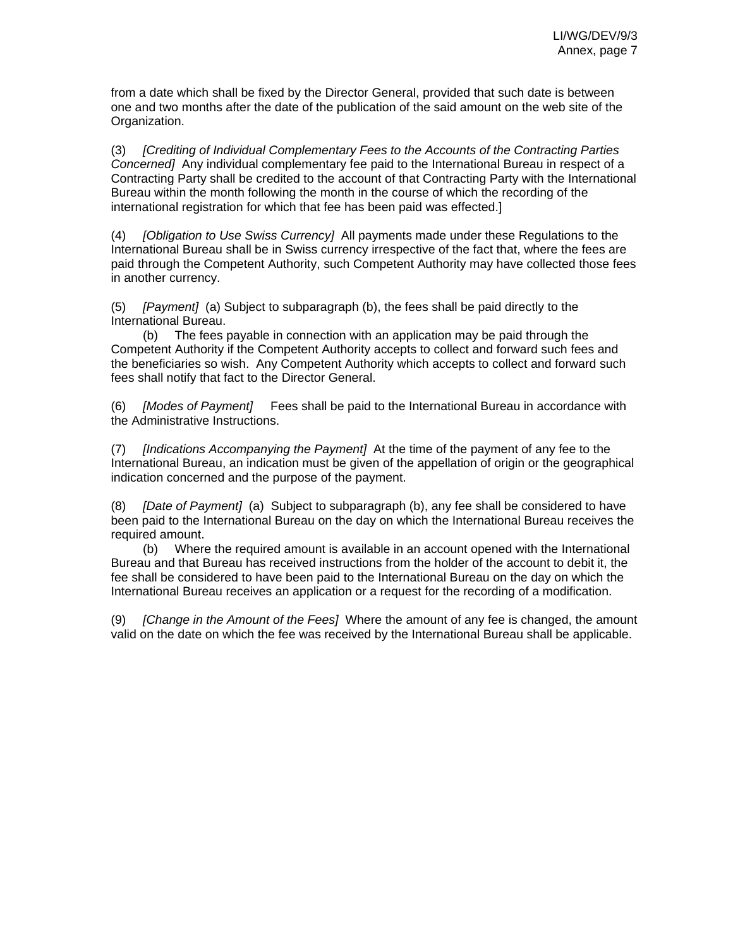from a date which shall be fixed by the Director General, provided that such date is between one and two months after the date of the publication of the said amount on the web site of the Organization.

(3) *[Crediting of Individual Complementary Fees to the Accounts of the Contracting Parties Concerned]* Any individual complementary fee paid to the International Bureau in respect of a Contracting Party shall be credited to the account of that Contracting Party with the International Bureau within the month following the month in the course of which the recording of the international registration for which that fee has been paid was effected.]

(4) *[Obligation to Use Swiss Currency]* All payments made under these Regulations to the International Bureau shall be in Swiss currency irrespective of the fact that, where the fees are paid through the Competent Authority, such Competent Authority may have collected those fees in another currency.

(5) *[Payment]* (a) Subject to subparagraph (b), the fees shall be paid directly to the International Bureau.

(b) The fees payable in connection with an application may be paid through the Competent Authority if the Competent Authority accepts to collect and forward such fees and the beneficiaries so wish. Any Competent Authority which accepts to collect and forward such fees shall notify that fact to the Director General.

(6) *[Modes of Payment]* Fees shall be paid to the International Bureau in accordance with the Administrative Instructions.

(7) *[Indications Accompanying the Payment]* At the time of the payment of any fee to the International Bureau, an indication must be given of the appellation of origin or the geographical indication concerned and the purpose of the payment.

(8) *[Date of Payment]* (a) Subject to subparagraph (b), any fee shall be considered to have been paid to the International Bureau on the day on which the International Bureau receives the required amount.

(b) Where the required amount is available in an account opened with the International Bureau and that Bureau has received instructions from the holder of the account to debit it, the fee shall be considered to have been paid to the International Bureau on the day on which the International Bureau receives an application or a request for the recording of a modification.

(9) *[Change in the Amount of the Fees]* Where the amount of any fee is changed, the amount valid on the date on which the fee was received by the International Bureau shall be applicable.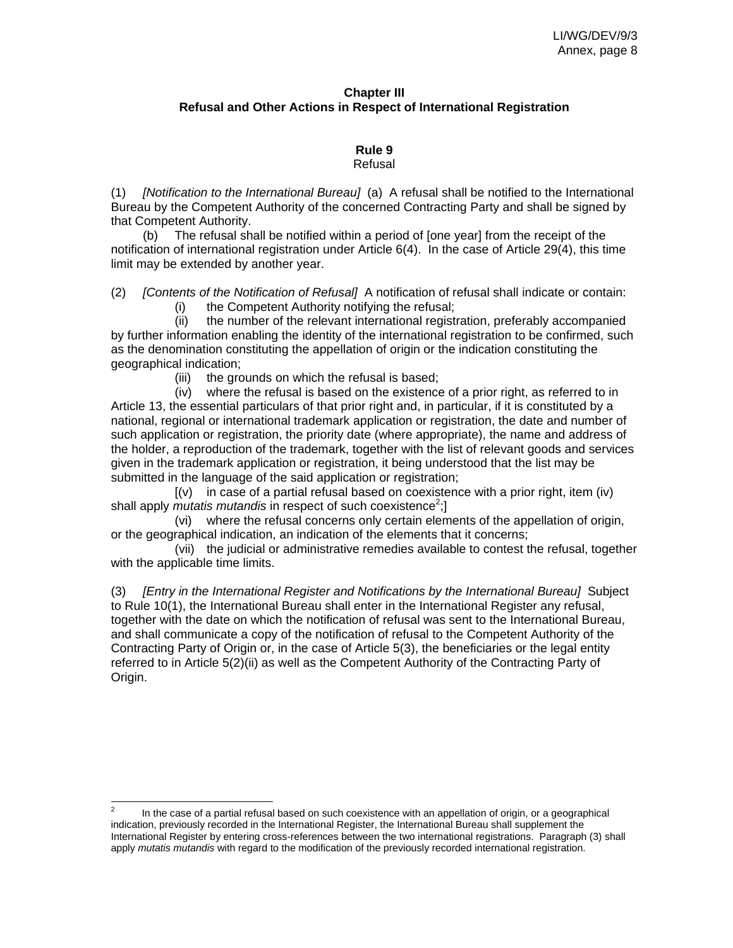## **Chapter III Refusal and Other Actions in Respect of International Registration**

## **Rule 9**

#### Refusal

(1) *[Notification to the International Bureau]* (a) A refusal shall be notified to the International Bureau by the Competent Authority of the concerned Contracting Party and shall be signed by that Competent Authority.

 (b) The refusal shall be notified within a period of [one year] from the receipt of the notification of international registration under Article 6(4). In the case of Article 29(4), this time limit may be extended by another year.

(2) *[Contents of the Notification of Refusal]* A notification of refusal shall indicate or contain:

(i) the Competent Authority notifying the refusal;

(ii) the number of the relevant international registration, preferably accompanied by further information enabling the identity of the international registration to be confirmed, such as the denomination constituting the appellation of origin or the indication constituting the geographical indication;

(iii) the grounds on which the refusal is based;

(iv) where the refusal is based on the existence of a prior right, as referred to in Article 13, the essential particulars of that prior right and, in particular, if it is constituted by a national, regional or international trademark application or registration, the date and number of such application or registration, the priority date (where appropriate), the name and address of the holder, a reproduction of the trademark, together with the list of relevant goods and services given in the trademark application or registration, it being understood that the list may be submitted in the language of the said application or registration;

 $[(v)$  in case of a partial refusal based on coexistence with a prior right, item  $(iv)$ shall apply *mutatis mutandis* in respect of such coexistence<sup>2</sup>;]

(vi) where the refusal concerns only certain elements of the appellation of origin, or the geographical indication, an indication of the elements that it concerns;

(vii) the judicial or administrative remedies available to contest the refusal, together with the applicable time limits.

(3) *[Entry in the International Register and Notifications by the International Bureau]* Subject to Rule 10(1), the International Bureau shall enter in the International Register any refusal, together with the date on which the notification of refusal was sent to the International Bureau, and shall communicate a copy of the notification of refusal to the Competent Authority of the Contracting Party of Origin or, in the case of Article 5(3), the beneficiaries or the legal entity referred to in Article 5(2)(ii) as well as the Competent Authority of the Contracting Party of Origin.

 $\frac{1}{2}$  In the case of a partial refusal based on such coexistence with an appellation of origin, or a geographical indication, previously recorded in the International Register, the International Bureau shall supplement the International Register by entering cross-references between the two international registrations. Paragraph (3) shall apply *mutatis mutandis* with regard to the modification of the previously recorded international registration.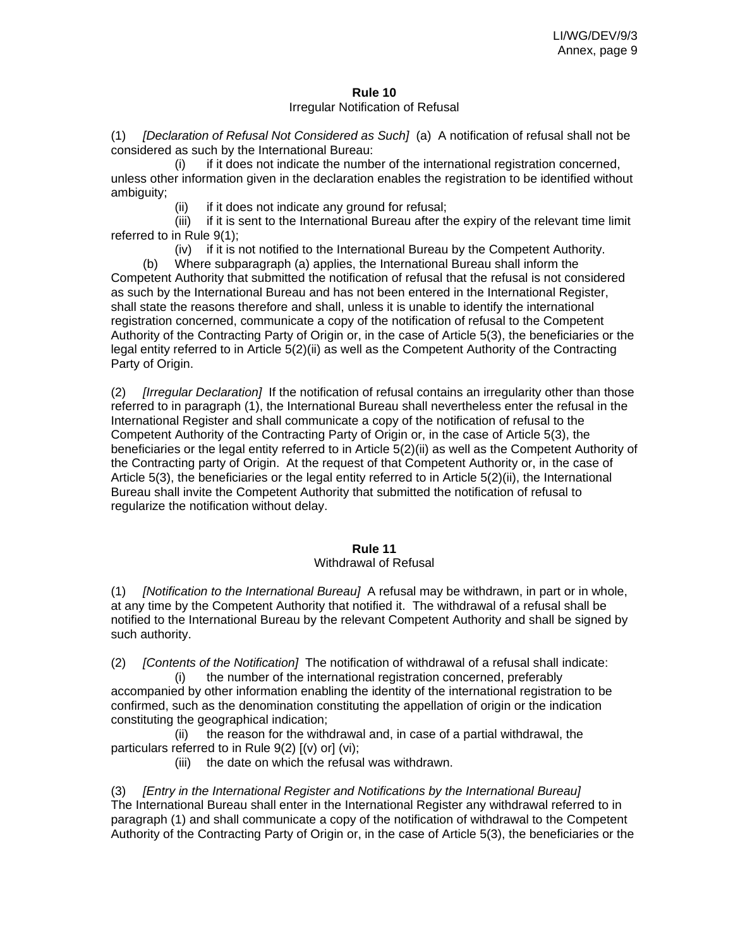#### Irregular Notification of Refusal

(1) *[Declaration of Refusal Not Considered as Such]* (a) A notification of refusal shall not be considered as such by the International Bureau:

(i) if it does not indicate the number of the international registration concerned, unless other information given in the declaration enables the registration to be identified without ambiguity;

(ii) if it does not indicate any ground for refusal;

(iii) if it is sent to the International Bureau after the expiry of the relevant time limit referred to in Rule 9(1);

(iv) if it is not notified to the International Bureau by the Competent Authority.

(b) Where subparagraph (a) applies, the International Bureau shall inform the Competent Authority that submitted the notification of refusal that the refusal is not considered as such by the International Bureau and has not been entered in the International Register, shall state the reasons therefore and shall, unless it is unable to identify the international registration concerned, communicate a copy of the notification of refusal to the Competent Authority of the Contracting Party of Origin or, in the case of Article 5(3), the beneficiaries or the legal entity referred to in Article 5(2)(ii) as well as the Competent Authority of the Contracting Party of Origin.

(2) *[Irregular Declaration]* If the notification of refusal contains an irregularity other than those referred to in paragraph (1), the International Bureau shall nevertheless enter the refusal in the International Register and shall communicate a copy of the notification of refusal to the Competent Authority of the Contracting Party of Origin or, in the case of Article 5(3), the beneficiaries or the legal entity referred to in Article 5(2)(ii) as well as the Competent Authority of the Contracting party of Origin. At the request of that Competent Authority or, in the case of Article 5(3), the beneficiaries or the legal entity referred to in Article 5(2)(ii), the International Bureau shall invite the Competent Authority that submitted the notification of refusal to regularize the notification without delay.

#### **Rule 11**

#### Withdrawal of Refusal

(1) *[Notification to the International Bureau]* A refusal may be withdrawn, in part or in whole, at any time by the Competent Authority that notified it. The withdrawal of a refusal shall be notified to the International Bureau by the relevant Competent Authority and shall be signed by such authority.

(2) *[Contents of the Notification]* The notification of withdrawal of a refusal shall indicate:

(i) the number of the international registration concerned, preferably accompanied by other information enabling the identity of the international registration to be confirmed, such as the denomination constituting the appellation of origin or the indication constituting the geographical indication;

 (ii) the reason for the withdrawal and, in case of a partial withdrawal, the particulars referred to in Rule 9(2) [(v) or] (vi);

(iii) the date on which the refusal was withdrawn.

(3) *[Entry in the International Register and Notifications by the International Bureau]* The International Bureau shall enter in the International Register any withdrawal referred to in paragraph (1) and shall communicate a copy of the notification of withdrawal to the Competent Authority of the Contracting Party of Origin or, in the case of Article 5(3), the beneficiaries or the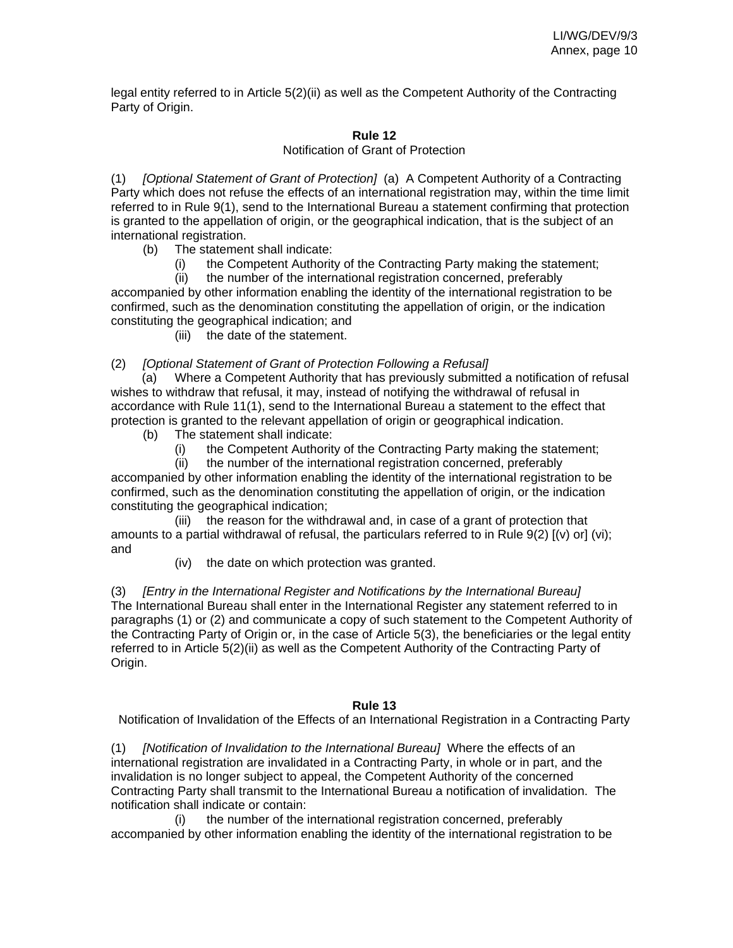legal entity referred to in Article 5(2)(ii) as well as the Competent Authority of the Contracting Party of Origin.

## **Rule 12**

#### Notification of Grant of Protection

(1) *[Optional Statement of Grant of Protection]* (a) A Competent Authority of a Contracting Party which does not refuse the effects of an international registration may, within the time limit referred to in Rule 9(1), send to the International Bureau a statement confirming that protection is granted to the appellation of origin, or the geographical indication, that is the subject of an international registration.

- (b) The statement shall indicate:
	- (i) the Competent Authority of the Contracting Party making the statement;

(ii) the number of the international registration concerned, preferably accompanied by other information enabling the identity of the international registration to be confirmed, such as the denomination constituting the appellation of origin, or the indication constituting the geographical indication; and

(iii) the date of the statement.

#### (2) *[Optional Statement of Grant of Protection Following a Refusal]*

(a) Where a Competent Authority that has previously submitted a notification of refusal wishes to withdraw that refusal, it may, instead of notifying the withdrawal of refusal in accordance with Rule 11(1), send to the International Bureau a statement to the effect that protection is granted to the relevant appellation of origin or geographical indication.

- (b) The statement shall indicate:
	- (i) the Competent Authority of the Contracting Party making the statement;

(ii) the number of the international registration concerned, preferably accompanied by other information enabling the identity of the international registration to be confirmed, such as the denomination constituting the appellation of origin, or the indication constituting the geographical indication;

 (iii) the reason for the withdrawal and, in case of a grant of protection that amounts to a partial withdrawal of refusal, the particulars referred to in Rule 9(2) [(v) or] (vi); and

(iv) the date on which protection was granted.

(3) *[Entry in the International Register and Notifications by the International Bureau]* The International Bureau shall enter in the International Register any statement referred to in paragraphs (1) or (2) and communicate a copy of such statement to the Competent Authority of the Contracting Party of Origin or, in the case of Article 5(3), the beneficiaries or the legal entity referred to in Article 5(2)(ii) as well as the Competent Authority of the Contracting Party of Origin.

## **Rule 13**

Notification of Invalidation of the Effects of an International Registration in a Contracting Party

(1) *[Notification of Invalidation to the International Bureau]* Where the effects of an international registration are invalidated in a Contracting Party, in whole or in part, and the invalidation is no longer subject to appeal, the Competent Authority of the concerned Contracting Party shall transmit to the International Bureau a notification of invalidation. The notification shall indicate or contain:

(i) the number of the international registration concerned, preferably accompanied by other information enabling the identity of the international registration to be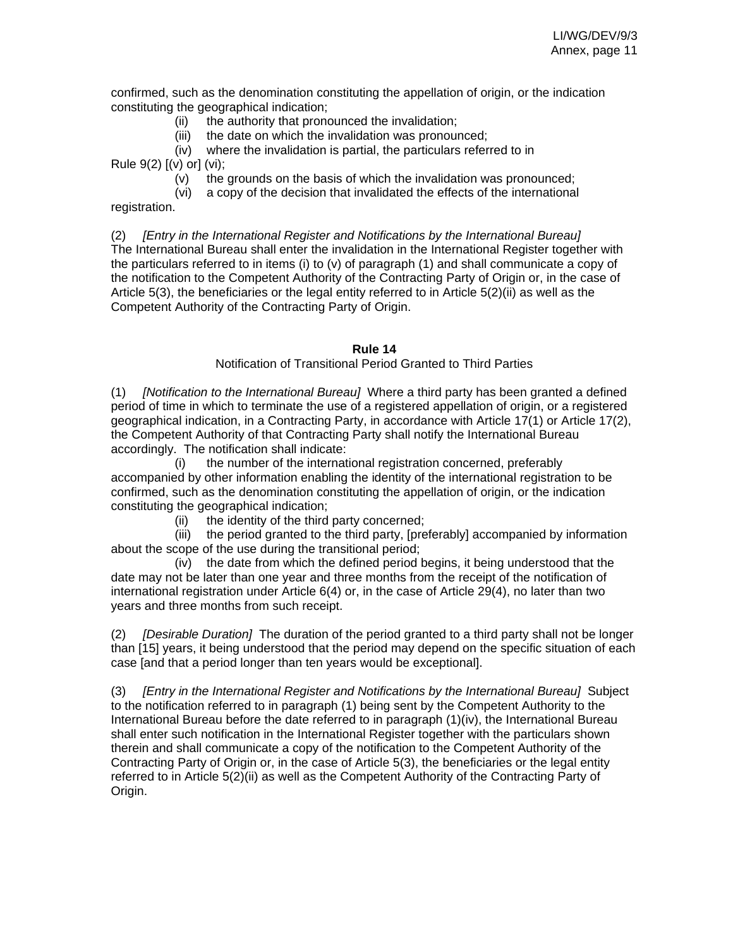confirmed, such as the denomination constituting the appellation of origin, or the indication constituting the geographical indication;

(ii) the authority that pronounced the invalidation;

(iii) the date on which the invalidation was pronounced;

(iv) where the invalidation is partial, the particulars referred to in

Rule 9(2) [(v) or] (vi);

(v) the grounds on the basis of which the invalidation was pronounced;

(vi) a copy of the decision that invalidated the effects of the international registration.

(2) *[Entry in the International Register and Notifications by the International Bureau]* The International Bureau shall enter the invalidation in the International Register together with the particulars referred to in items (i) to (v) of paragraph (1) and shall communicate a copy of the notification to the Competent Authority of the Contracting Party of Origin or, in the case of Article 5(3), the beneficiaries or the legal entity referred to in Article 5(2)(ii) as well as the Competent Authority of the Contracting Party of Origin.

## **Rule 14**

## Notification of Transitional Period Granted to Third Parties

(1) *[Notification to the International Bureau]* Where a third party has been granted a defined period of time in which to terminate the use of a registered appellation of origin, or a registered geographical indication, in a Contracting Party, in accordance with Article 17(1) or Article 17(2), the Competent Authority of that Contracting Party shall notify the International Bureau accordingly. The notification shall indicate:

(i) the number of the international registration concerned, preferably accompanied by other information enabling the identity of the international registration to be confirmed, such as the denomination constituting the appellation of origin, or the indication constituting the geographical indication;

(ii) the identity of the third party concerned;

(iii) the period granted to the third party, [preferably] accompanied by information about the scope of the use during the transitional period;

(iv) the date from which the defined period begins, it being understood that the date may not be later than one year and three months from the receipt of the notification of international registration under Article 6(4) or, in the case of Article 29(4), no later than two years and three months from such receipt.

(2) *[Desirable Duration]* The duration of the period granted to a third party shall not be longer than [15] years, it being understood that the period may depend on the specific situation of each case [and that a period longer than ten years would be exceptional].

(3) *[Entry in the International Register and Notifications by the International Bureau]* Subject to the notification referred to in paragraph (1) being sent by the Competent Authority to the International Bureau before the date referred to in paragraph (1)(iv), the International Bureau shall enter such notification in the International Register together with the particulars shown therein and shall communicate a copy of the notification to the Competent Authority of the Contracting Party of Origin or, in the case of Article 5(3), the beneficiaries or the legal entity referred to in Article 5(2)(ii) as well as the Competent Authority of the Contracting Party of Origin.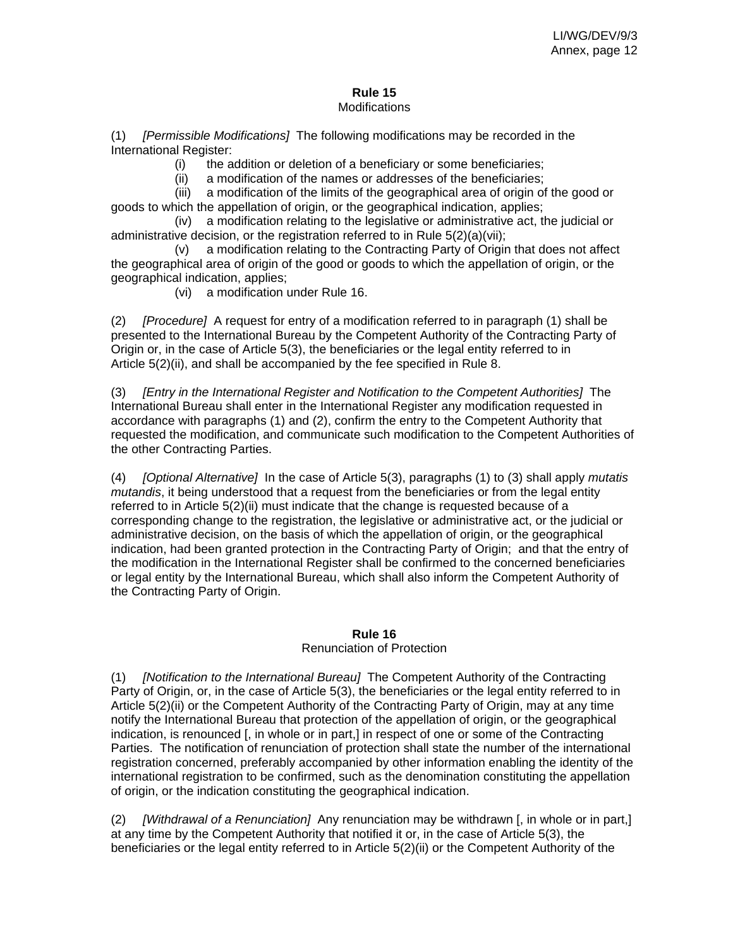#### **Modifications**

(1) *[Permissible Modifications]* The following modifications may be recorded in the International Register:

(i) the addition or deletion of a beneficiary or some beneficiaries;

(ii) a modification of the names or addresses of the beneficiaries;

(iii) a modification of the limits of the geographical area of origin of the good or goods to which the appellation of origin, or the geographical indication, applies;

(iv) a modification relating to the legislative or administrative act, the judicial or administrative decision, or the registration referred to in Rule 5(2)(a)(vii);

(v) a modification relating to the Contracting Party of Origin that does not affect the geographical area of origin of the good or goods to which the appellation of origin, or the geographical indication, applies;

(vi) a modification under Rule 16.

(2) *[Procedure]* A request for entry of a modification referred to in paragraph (1) shall be presented to the International Bureau by the Competent Authority of the Contracting Party of Origin or, in the case of Article 5(3), the beneficiaries or the legal entity referred to in Article 5(2)(ii), and shall be accompanied by the fee specified in Rule 8.

(3) *[Entry in the International Register and Notification to the Competent Authorities]* The International Bureau shall enter in the International Register any modification requested in accordance with paragraphs (1) and (2), confirm the entry to the Competent Authority that requested the modification, and communicate such modification to the Competent Authorities of the other Contracting Parties.

(4) *[Optional Alternative]* In the case of Article 5(3), paragraphs (1) to (3) shall apply *mutatis mutandis*, it being understood that a request from the beneficiaries or from the legal entity referred to in Article 5(2)(ii) must indicate that the change is requested because of a corresponding change to the registration, the legislative or administrative act, or the judicial or administrative decision, on the basis of which the appellation of origin, or the geographical indication, had been granted protection in the Contracting Party of Origin; and that the entry of the modification in the International Register shall be confirmed to the concerned beneficiaries or legal entity by the International Bureau, which shall also inform the Competent Authority of the Contracting Party of Origin.

## **Rule 16**

## Renunciation of Protection

(1) *[Notification to the International Bureau]* The Competent Authority of the Contracting Party of Origin, or, in the case of Article 5(3), the beneficiaries or the legal entity referred to in Article 5(2)(ii) or the Competent Authority of the Contracting Party of Origin, may at any time notify the International Bureau that protection of the appellation of origin, or the geographical indication, is renounced [, in whole or in part,] in respect of one or some of the Contracting Parties. The notification of renunciation of protection shall state the number of the international registration concerned, preferably accompanied by other information enabling the identity of the international registration to be confirmed, such as the denomination constituting the appellation of origin, or the indication constituting the geographical indication.

(2) *[Withdrawal of a Renunciation]* Any renunciation may be withdrawn [, in whole or in part,] at any time by the Competent Authority that notified it or, in the case of Article 5(3), the beneficiaries or the legal entity referred to in Article 5(2)(ii) or the Competent Authority of the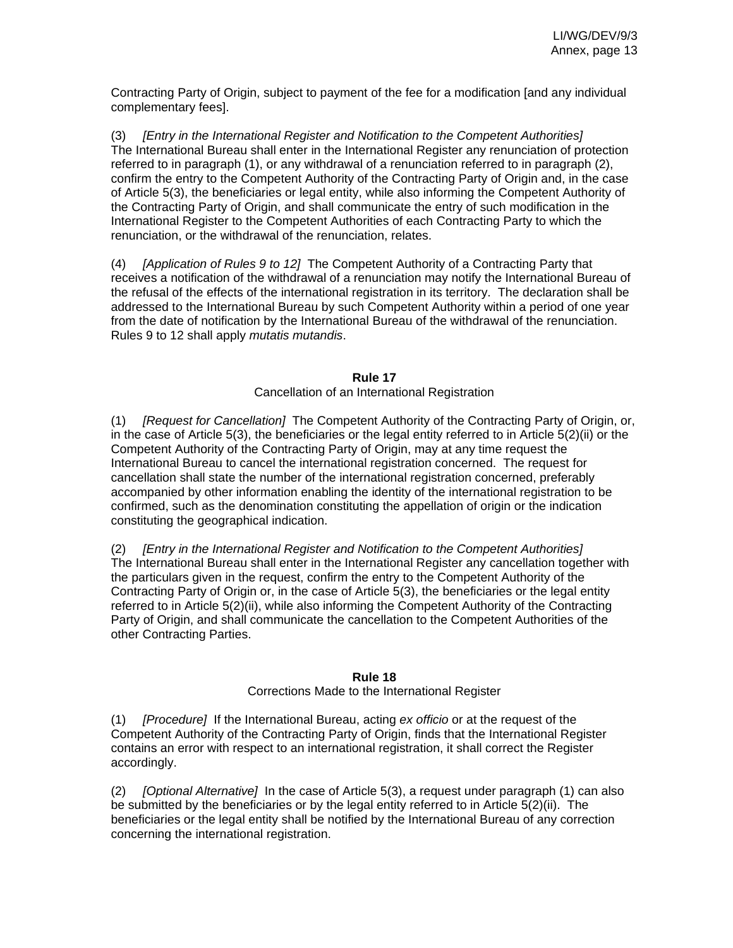Contracting Party of Origin, subject to payment of the fee for a modification [and any individual complementary fees].

(3) *[Entry in the International Register and Notification to the Competent Authorities]* The International Bureau shall enter in the International Register any renunciation of protection referred to in paragraph (1), or any withdrawal of a renunciation referred to in paragraph (2), confirm the entry to the Competent Authority of the Contracting Party of Origin and, in the case of Article 5(3), the beneficiaries or legal entity, while also informing the Competent Authority of the Contracting Party of Origin, and shall communicate the entry of such modification in the International Register to the Competent Authorities of each Contracting Party to which the renunciation, or the withdrawal of the renunciation, relates.

(4) *[Application of Rules 9 to 12]* The Competent Authority of a Contracting Party that receives a notification of the withdrawal of a renunciation may notify the International Bureau of the refusal of the effects of the international registration in its territory. The declaration shall be addressed to the International Bureau by such Competent Authority within a period of one year from the date of notification by the International Bureau of the withdrawal of the renunciation. Rules 9 to 12 shall apply *mutatis mutandis*.

## **Rule 17**

Cancellation of an International Registration

(1) *[Request for Cancellation]* The Competent Authority of the Contracting Party of Origin, or, in the case of Article 5(3), the beneficiaries or the legal entity referred to in Article 5(2)(ii) or the Competent Authority of the Contracting Party of Origin, may at any time request the International Bureau to cancel the international registration concerned. The request for cancellation shall state the number of the international registration concerned, preferably accompanied by other information enabling the identity of the international registration to be confirmed, such as the denomination constituting the appellation of origin or the indication constituting the geographical indication.

(2) *[Entry in the International Register and Notification to the Competent Authorities]* The International Bureau shall enter in the International Register any cancellation together with the particulars given in the request, confirm the entry to the Competent Authority of the Contracting Party of Origin or, in the case of Article 5(3), the beneficiaries or the legal entity referred to in Article 5(2)(ii), while also informing the Competent Authority of the Contracting Party of Origin, and shall communicate the cancellation to the Competent Authorities of the other Contracting Parties.

## **Rule 18**

## Corrections Made to the International Register

(1) *[Procedure]* If the International Bureau, acting *ex officio* or at the request of the Competent Authority of the Contracting Party of Origin, finds that the International Register contains an error with respect to an international registration, it shall correct the Register accordingly.

(2) *[Optional Alternative]* In the case of Article 5(3), a request under paragraph (1) can also be submitted by the beneficiaries or by the legal entity referred to in Article 5(2)(ii). The beneficiaries or the legal entity shall be notified by the International Bureau of any correction concerning the international registration.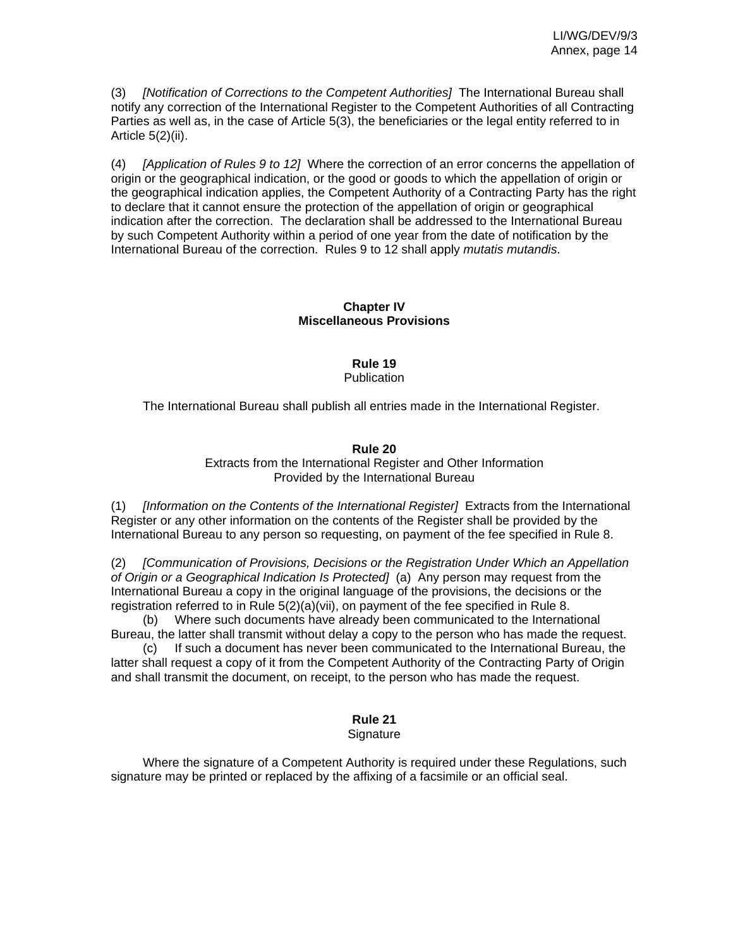(3) *[Notification of Corrections to the Competent Authorities]* The International Bureau shall notify any correction of the International Register to the Competent Authorities of all Contracting Parties as well as, in the case of Article 5(3), the beneficiaries or the legal entity referred to in Article 5(2)(ii).

(4) *[Application of Rules 9 to 12]* Where the correction of an error concerns the appellation of origin or the geographical indication, or the good or goods to which the appellation of origin or the geographical indication applies, the Competent Authority of a Contracting Party has the right to declare that it cannot ensure the protection of the appellation of origin or geographical indication after the correction. The declaration shall be addressed to the International Bureau by such Competent Authority within a period of one year from the date of notification by the International Bureau of the correction. Rules 9 to 12 shall apply *mutatis mutandis*.

## **Chapter IV Miscellaneous Provisions**

**Rule 19** 

**Publication** 

The International Bureau shall publish all entries made in the International Register.

## **Rule 20**

## Extracts from the International Register and Other Information Provided by the International Bureau

(1) *[Information on the Contents of the International Register]* Extracts from the International Register or any other information on the contents of the Register shall be provided by the International Bureau to any person so requesting, on payment of the fee specified in Rule 8.

(2) *[Communication of Provisions, Decisions or the Registration Under Which an Appellation of Origin or a Geographical Indication Is Protected]* (a) Any person may request from the International Bureau a copy in the original language of the provisions, the decisions or the registration referred to in Rule 5(2)(a)(vii), on payment of the fee specified in Rule 8.

(b) Where such documents have already been communicated to the International Bureau, the latter shall transmit without delay a copy to the person who has made the request.

(c) If such a document has never been communicated to the International Bureau, the latter shall request a copy of it from the Competent Authority of the Contracting Party of Origin and shall transmit the document, on receipt, to the person who has made the request.

# **Rule 21**

## **Signature**

Where the signature of a Competent Authority is required under these Regulations, such signature may be printed or replaced by the affixing of a facsimile or an official seal.